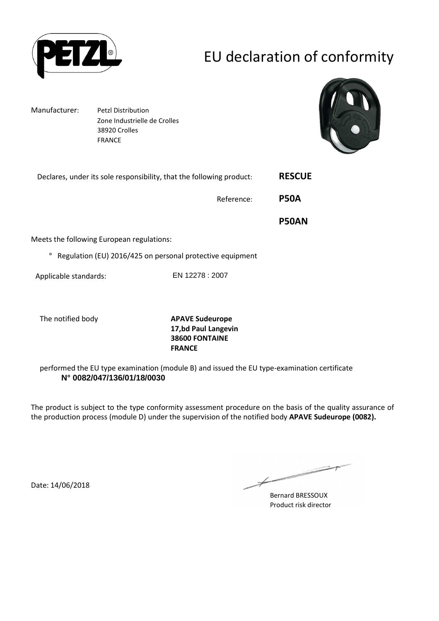

# EU declaration of conformity

Manufacturer: Petzl Distribution Zone Industrielle de Crolles 38920 Crolles FRANCE



| Declares, under its sole responsibility, that the following product: |                 | <b>RESCUE</b> |
|----------------------------------------------------------------------|-----------------|---------------|
|                                                                      | Reference:      | <b>P50A</b>   |
|                                                                      |                 | <b>P50AN</b>  |
| Meets the following European regulations:                            |                 |               |
| Regulation (EU) 2016/425 on personal protective equipment<br>$\circ$ |                 |               |
| Applicable standards:                                                | EN 12278 : 2007 |               |
|                                                                      |                 |               |
|                                                                      |                 |               |

The notified body **APAVE Sudeurope**

**17,bd Paul Langevin 38600 FONTAINE FRANCE**

performed the EU type examination (module B) and issued the EU type-examination certificate **N° 0082/047/136/01/18/0030**

The product is subject to the type conformity assessment procedure on the basis of the quality assurance of the production process (module D) under the supervision of the notified body **APAVE Sudeurope (0082).**

Date: 14/06/2018

 $\not\!\!\!/-$ 

Bernard BRESSOUX Product risk director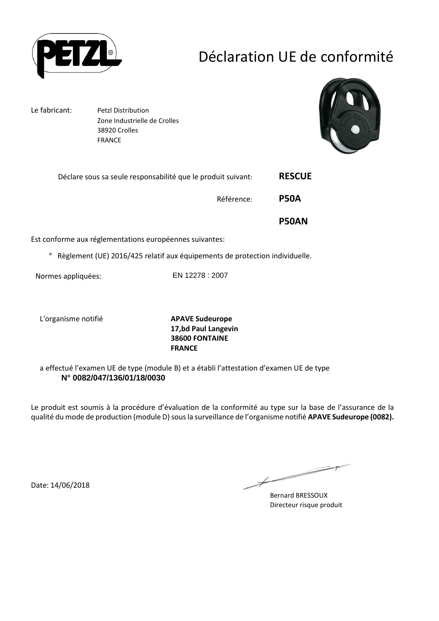

## Déclaration UE de conformité

Le fabricant: Petzl Distribution Zone Industrielle de Crolles 38920 Crolles FRANCE



| <b>RESCUE</b> | Déclare sous sa seule responsabilité que le produit suivant: |  |
|---------------|--------------------------------------------------------------|--|
| <b>P50A</b>   | Référence:                                                   |  |
| <b>P50AN</b>  |                                                              |  |
|               | Est conforme aux réglementations européennes suivantes:      |  |

° Règlement (UE) 2016/425 relatif aux équipements de protection individuelle.

Normes appliquées: EN 12278 : 2007

L'organisme notifié **APAVE Sudeurope**

**17,bd Paul Langevin 38600 FONTAINE FRANCE**

a effectué l'examen UE de type (module B) et a établi l'attestation d'examen UE de type **N° 0082/047/136/01/18/0030**

Le produit est soumis à la procédure d'évaluation de la conformité au type sur la base de l'assurance de la qualité du mode de production (module D) sous la surveillance de l'organisme notifié **APAVE Sudeurope (0082).**

Date: 14/06/2018

 $\overline{\phantom{a}}$  $\not\!\!\!/-$ 

Bernard BRESSOUX Directeur risque produit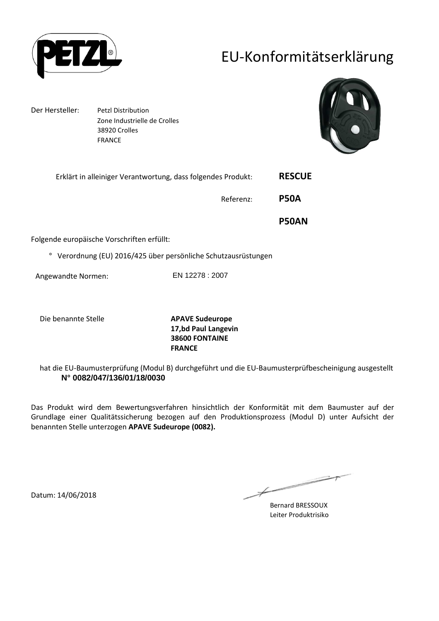

## EU-Konformitätserklärung

Der Hersteller: Petzl Distribution Zone Industrielle de Crolles 38920 Crolles FRANCE



| Erklärt in alleiniger Verantwortung, dass folgendes Produkt: |                 | <b>RESCUE</b> |
|--------------------------------------------------------------|-----------------|---------------|
|                                                              | Referenz:       | <b>P50A</b>   |
|                                                              |                 | <b>P50AN</b>  |
| Folgende europäische Vorschriften erfüllt:                   |                 |               |
| Verordnung (EU) 2016/425 über persönliche Schutzausrüstungen |                 |               |
| Angewandte Normen:                                           | EN 12278 : 2007 |               |

Die benannte Stelle **APAVE Sudeurope**

**17,bd Paul Langevin 38600 FONTAINE FRANCE**

hat die EU-Baumusterprüfung (Modul B) durchgeführt und die EU-Baumusterprüfbescheinigung ausgestellt **N° 0082/047/136/01/18/0030**

Das Produkt wird dem Bewertungsverfahren hinsichtlich der Konformität mit dem Baumuster auf der Grundlage einer Qualitätssicherung bezogen auf den Produktionsprozess (Modul D) unter Aufsicht der benannten Stelle unterzogen **APAVE Sudeurope (0082).**

 $\overline{\phantom{a}}$ Bernard BRESSOUX

Leiter Produktrisiko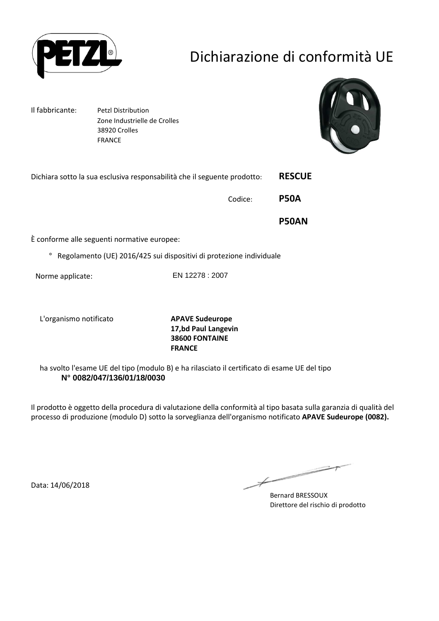

# Dichiarazione di conformità UE

Il fabbricante: Petzl Distribution Zone Industrielle de Crolles 38920 Crolles FRANCE



| Dichiara sotto la sua esclusiva responsabilità che il seguente prodotto:       |         | <b>RESCUE</b> |
|--------------------------------------------------------------------------------|---------|---------------|
|                                                                                | Codice: | <b>P50A</b>   |
|                                                                                |         | <b>P50AN</b>  |
| È conforme alle seguenti normative europee:                                    |         |               |
| Regolamento (UE) 2016/425 sui dispositivi di protezione individuale<br>$\circ$ |         |               |

Norme applicate: EN 12278 : 2007

L'organismo notificato **APAVE Sudeurope**

**17,bd Paul Langevin 38600 FONTAINE FRANCE**

ha svolto l'esame UE del tipo (modulo B) e ha rilasciato il certificato di esame UE del tipo **N° 0082/047/136/01/18/0030**

Il prodotto è oggetto della procedura di valutazione della conformità al tipo basata sulla garanzia di qualità del processo di produzione (modulo D) sotto la sorveglianza dell'organismo notificato **APAVE Sudeurope (0082).**

Data: 14/06/2018

 $\not\!\!\!\!/$ 

Bernard BRESSOUX Direttore del rischio di prodotto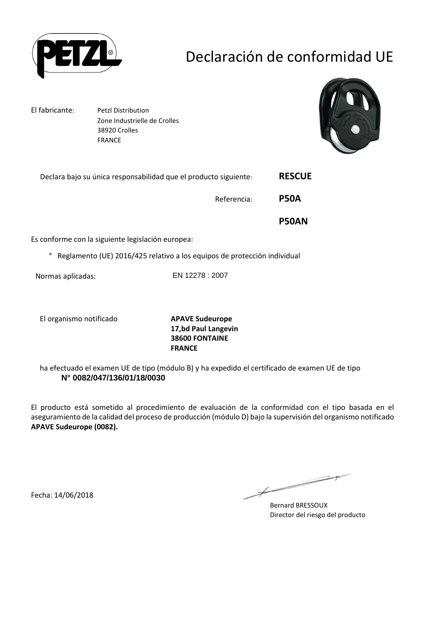

## Declaración de conformidad UE

El fabricante: Petzl Distribution Zone Industrielle de Crolles 38920 Crolles FRANCE



| <b>RESCUE</b> | Declara bajo su única responsabilidad que el producto siguiente: |  |
|---------------|------------------------------------------------------------------|--|
| <b>P50A</b>   | Referencia:                                                      |  |
| <b>P50AN</b>  |                                                                  |  |
|               | Es conforme con la siguiente legislación europea:                |  |

° Reglamento (UE) 2016/425 relativo a los equipos de protección individual

Normas aplicadas: EN 12278 : 2007

El organismo notificado **APAVE Sudeurope**

**17,bd Paul Langevin 38600 FONTAINE FRANCE**

ha efectuado el examen UE de tipo (módulo B) y ha expedido el certificado de examen UE de tipo **N° 0082/047/136/01/18/0030**

El producto está sometido al procedimiento de evaluación de la conformidad con el tipo basada en el aseguramiento de la calidad del proceso de producción (módulo D) bajo la supervisión del organismo notificado **APAVE Sudeurope (0082).**

Fecha: 14/06/2018

Bernard BRESSOUX Director del riesgo del producto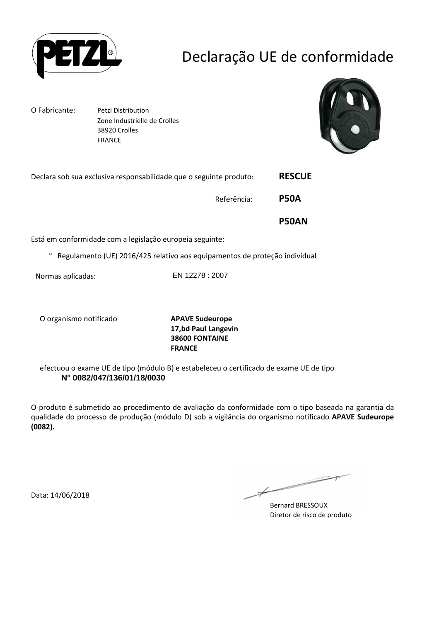

## Declaração UE de conformidade

O Fabricante: Petzl Distribution Zone Industrielle de Crolles 38920 Crolles FRANCE



| Declara sob sua exclusiva responsabilidade que o seguinte produto:                    | <b>RESCUE</b> |
|---------------------------------------------------------------------------------------|---------------|
| Referência:                                                                           | <b>P50A</b>   |
|                                                                                       | <b>P50AN</b>  |
| Está em conformidade com a legislação europeia seguinte:                              |               |
| Regulamento (UE) 2016/425 relativo aos equipamentos de proteção individual<br>$\circ$ |               |

Normas aplicadas: EN 12278 : 2007

O organismo notificado **APAVE Sudeurope**

**17,bd Paul Langevin 38600 FONTAINE FRANCE**

efectuou o exame UE de tipo (módulo B) e estabeleceu o certificado de exame UE de tipo **N° 0082/047/136/01/18/0030**

O produto é submetido ao procedimento de avaliação da conformidade com o tipo baseada na garantia da qualidade do processo de produção (módulo D) sob a vigilância do organismo notificado **APAVE Sudeurope (0082).**

Data: 14/06/2018

Bernard BRESSOUX Diretor de risco de produto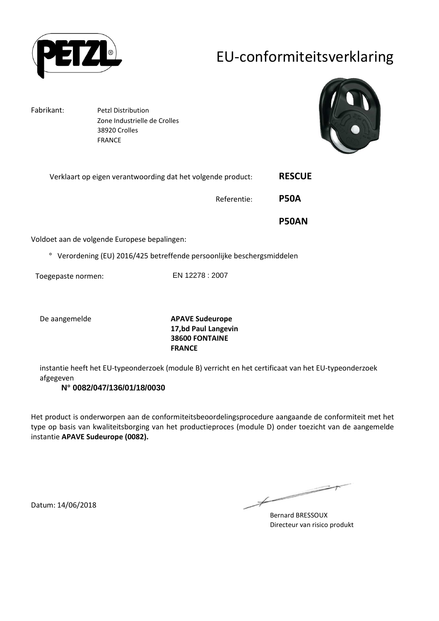

## EU-conformiteitsverklaring

Fabrikant: Petzl Distribution Zone Industrielle de Crolles 38920 Crolles FRANCE



| Verklaart op eigen verantwoording dat het volgende product: | <b>RESCUE</b> |
|-------------------------------------------------------------|---------------|
| Referentie:                                                 | <b>P50A</b>   |
|                                                             | <b>P50AN</b>  |
| Voldoet aan de volgende Europese bepalingen:                |               |

° Verordening (EU) 2016/425 betreffende persoonlijke beschergsmiddelen

Toegepaste normen: EN 12278 : 2007

De aangemelde **APAVE Sudeurope 17,bd Paul Langevin 38600 FONTAINE FRANCE**

instantie heeft het EU-typeonderzoek (module B) verricht en het certificaat van het EU-typeonderzoek afgegeven

#### **N° 0082/047/136/01/18/0030**

Het product is onderworpen aan de conformiteitsbeoordelingsprocedure aangaande de conformiteit met het type op basis van kwaliteitsborging van het productieproces (module D) onder toezicht van de aangemelde instantie **APAVE Sudeurope (0082).**

 $\overline{\phantom{a}}$ فستستعد 

Bernard BRESSOUX Directeur van risico produkt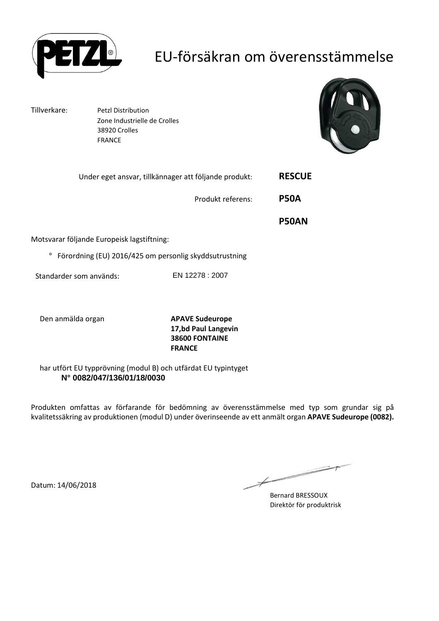

## EU-försäkran om överensstämmelse

Tillverkare: Petzl Distribution Zone Industrielle de Crolles 38920 Crolles FRANCE



|                                                                   | Under eget ansvar, tillkännager att följande produkt: | <b>RESCUE</b> |
|-------------------------------------------------------------------|-------------------------------------------------------|---------------|
|                                                                   | Produkt referens:                                     | <b>P50A</b>   |
|                                                                   |                                                       | <b>P50AN</b>  |
| Motsvarar följande Europeisk lagstiftning:                        |                                                       |               |
| Förordning (EU) 2016/425 om personlig skyddsutrustning<br>$\circ$ |                                                       |               |
| Standarder som används:                                           | EN 12278 : 2007                                       |               |

Den anmälda organ **APAVE Sudeurope 17,bd Paul Langevin 38600 FONTAINE FRANCE**

har utfört EU typprövning (modul B) och utfärdat EU typintyget **N° 0082/047/136/01/18/0030**

Produkten omfattas av förfarande för bedömning av överensstämmelse med typ som grundar sig på kvalitetssäkring av produktionen (modul D) under överinseende av ett anmält organ **APAVE Sudeurope (0082).**

 $\not\!\!\!/-$ 

Bernard BRESSOUX Direktör för produktrisk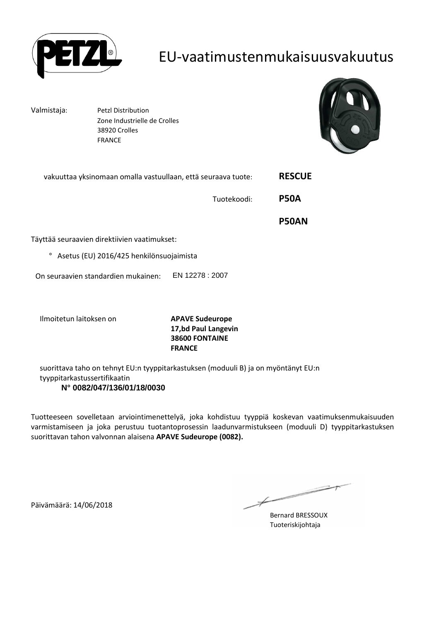

#### EU-vaatimustenmukaisuusvakuutus

Valmistaja: Petzl Distribution Zone Industrielle de Crolles 38920 Crolles FRANCE



| vakuuttaa yksinomaan omalla vastuullaan, että seuraava tuote: |                                                                 | <b>RESCUE</b> |
|---------------------------------------------------------------|-----------------------------------------------------------------|---------------|
|                                                               | Tuotekoodi:                                                     | <b>P50A</b>   |
|                                                               |                                                                 | <b>P50AN</b>  |
| Täyttää seuraavien direktiivien vaatimukset:                  |                                                                 |               |
| Asetus (EU) 2016/425 henkilönsuojaimista<br>$\circ$           |                                                                 |               |
| On seuraavien standardien mukainen:                           | EN 12278 : 2007                                                 |               |
| Ilmoitetun laitoksen on                                       | <b>APAVE Sudeurope</b><br>17,bd Paul Langevin<br>38600 FONTAINE |               |

suorittava taho on tehnyt EU:n tyyppitarkastuksen (moduuli B) ja on myöntänyt EU:n tyyppitarkastussertifikaatin **N° 0082/047/136/01/18/0030**

**FRANCE**

Tuotteeseen sovelletaan arviointimenettelyä, joka kohdistuu tyyppiä koskevan vaatimuksenmukaisuuden varmistamiseen ja joka perustuu tuotantoprosessin laadunvarmistukseen (moduuli D) tyyppitarkastuksen suorittavan tahon valvonnan alaisena **APAVE Sudeurope (0082).**

Päivämäärä: 14/06/2018

 $\overline{\phantom{a}}$  $\not\!\!\!\!/$ 

Bernard BRESSOUX Tuoteriskijohtaja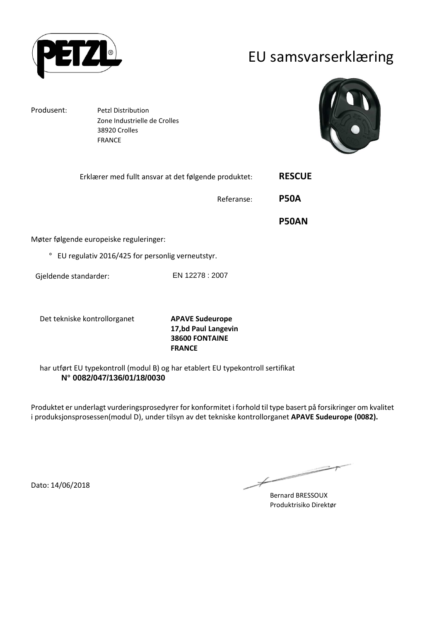

### EU samsvarserklæring

Produsent: Petzl Distribution

Møter

 Zone Industrielle de Crolles 38920 Crolles FRANCE



|                                                             | Erklærer med fullt ansvar at det følgende produktet: | <b>RESCUE</b> |
|-------------------------------------------------------------|------------------------------------------------------|---------------|
|                                                             | Referanse:                                           | <b>P50A</b>   |
|                                                             |                                                      | <b>P50AN</b>  |
| Aøter følgende europeiske reguleringer:                     |                                                      |               |
| EU regulativ 2016/425 for personlig verneutstyr.<br>$\circ$ |                                                      |               |
| Gjeldende standarder:                                       | EN 12278 : 2007                                      |               |
|                                                             |                                                      |               |

Det tekniske kontrollorganet **APAVE Sudeurope**

**17,bd Paul Langevin 38600 FONTAINE FRANCE**

har utført EU typekontroll (modul B) og har etablert EU typekontroll sertifikat **N° 0082/047/136/01/18/0030**

Produktet er underlagt vurderingsprosedyrer for konformitet i forhold til type basert på forsikringer om kvalitet i produksjonsprosessen(modul D), under tilsyn av det tekniske kontrollorganet **APAVE Sudeurope (0082).**

Dato: 14/06/2018

∠  $\Rightarrow$ 

Bernard BRESSOUX Produktrisiko Direktør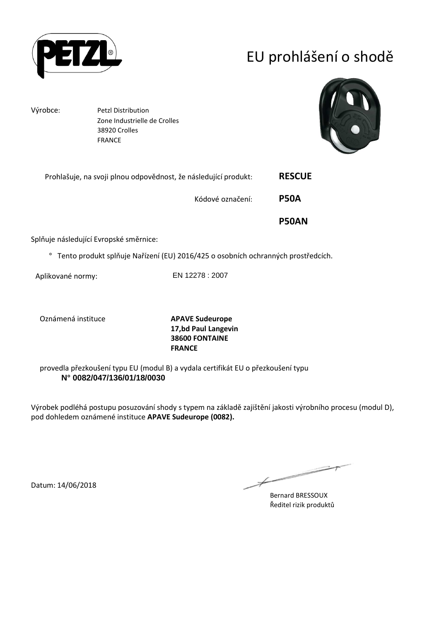

# EU prohlášení o shodě

Výrobce: Petzl Distribution Zone Industrielle de Crolles 38920 Crolles FRANCE



|                                                                 | <b>P50AN</b>  |
|-----------------------------------------------------------------|---------------|
| Kódové označení:                                                | <b>P50A</b>   |
| Prohlašuje, na svoji plnou odpovědnost, že následující produkt: | <b>RESCUE</b> |

Splňuje následující Evropské směrnice:

° Tento produkt splňuje Nařízení (EU) 2016/425 o osobních ochranných prostředcích.

Aplikované normy: EN 12278 : 2007

Oznámená instituce **APAVE Sudeurope**

**17,bd Paul Langevin 38600 FONTAINE FRANCE**

provedla přezkoušení typu EU (modul B) a vydala certifikát EU o přezkoušení typu **N° 0082/047/136/01/18/0030**

Výrobek podléhá postupu posuzování shody s typem na základě zajištění jakosti výrobního procesu (modul D), pod dohledem oznámené instituce **APAVE Sudeurope (0082).**

 $\not\!\!\!\!/$ 

Bernard BRESSOUX Ředitel rizik produktů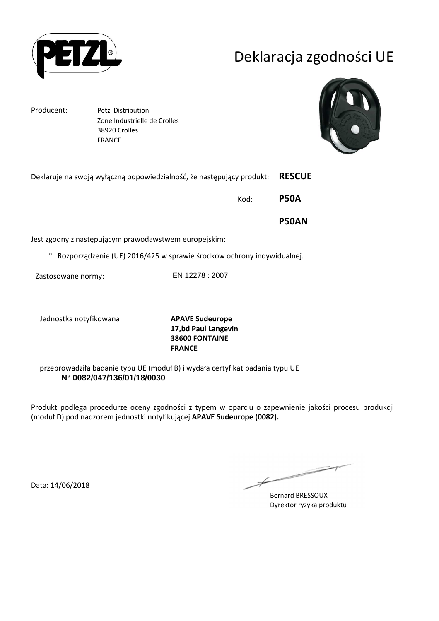

# Deklaracja zgodności UE

Producent: Petzl Distribution Zone Industrielle de Crolles 38920 Crolles FRANCE



| Deklaruje na swoją wyłączną odpowiedzialność, że następujący produkt: |                                                                       | <b>RESCUE</b> |
|-----------------------------------------------------------------------|-----------------------------------------------------------------------|---------------|
|                                                                       | Kod:                                                                  | <b>P50A</b>   |
|                                                                       |                                                                       | <b>P50AN</b>  |
| Jest zgodny z następującym prawodawstwem europejskim:                 |                                                                       |               |
| $\circ$                                                               | Rozporządzenie (UE) 2016/425 w sprawie środków ochrony indywidualnej. |               |
| Zastosowane normy:                                                    | EN 12278 : 2007                                                       |               |

Jednostka notyfikowana **APAVE Sudeurope**

**17,bd Paul Langevin 38600 FONTAINE FRANCE**

przeprowadziła badanie typu UE (moduł B) i wydała certyfikat badania typu UE **N° 0082/047/136/01/18/0030**

Produkt podlega procedurze oceny zgodności z typem w oparciu o zapewnienie jakości procesu produkcji (moduł D) pod nadzorem jednostki notyfikującej **APAVE Sudeurope (0082).**

Data: 14/06/2018

∠  $\Rightarrow$ 

Bernard BRESSOUX Dyrektor ryzyka produktu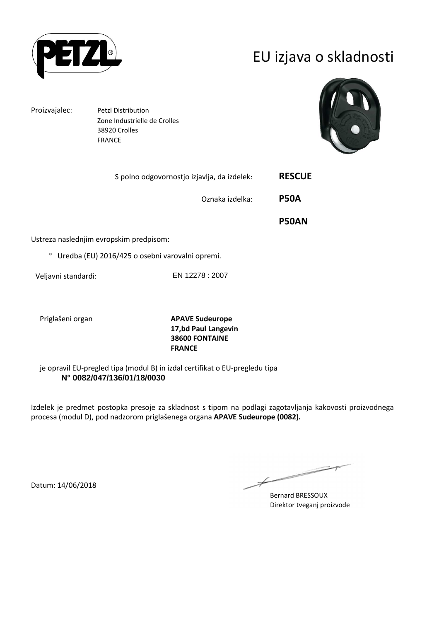

## EU izjava o skladnosti

Proizvajalec: Petzl Distribution Zone Industrielle de Crolles 38920 Crolles FRANCE



| S polno odgovornostjo izjavlja, da izdelek:                | <b>RESCUE</b> |
|------------------------------------------------------------|---------------|
| Oznaka izdelka:                                            | <b>P50A</b>   |
|                                                            | <b>P50AN</b>  |
| Ustreza naslednjim evropskim predpisom:                    |               |
| Uredba (EU) 2016/425 o osebni varovalni opremi.<br>$\circ$ |               |
|                                                            |               |

Veljavni standardi: EN 12278 : 2007

Priglašeni organ **APAVE Sudeurope 17,bd Paul Langevin 38600 FONTAINE FRANCE**

je opravil EU-pregled tipa (modul B) in izdal certifikat o EU-pregledu tipa **N° 0082/047/136/01/18/0030**

Izdelek je predmet postopka presoje za skladnost s tipom na podlagi zagotavljanja kakovosti proizvodnega procesa (modul D), pod nadzorom priglašenega organa **APAVE Sudeurope (0082).**

 $\not\!\!\!/-$ 

Bernard BRESSOUX Direktor tveganj proizvode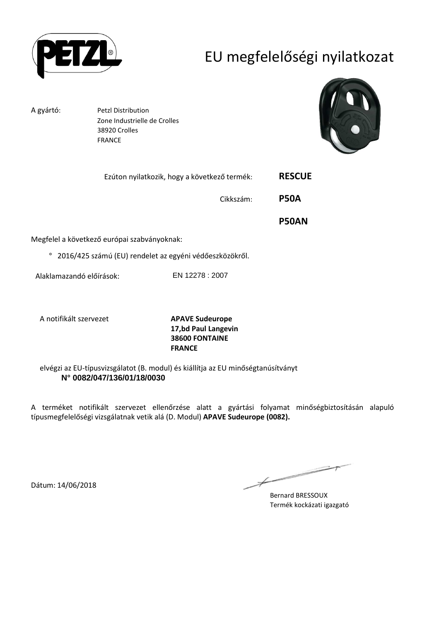

# EU megfelelőségi nyilatkozat

A gyártó: Petzl Distribution Zone Industrielle de Crolles 38920 Crolles FRANCE



| Ezúton nyilatkozik, hogy a következő termék: | <b>RESCUE</b> |
|----------------------------------------------|---------------|
| Cikkszám:                                    | <b>P50A</b>   |
|                                              | <b>P50AN</b>  |
| Megfelel a következő európai szabványoknak:  |               |

° 2016/425 számú (EU) rendelet az egyéni védőeszközökről.

Alaklamazandó előírások: EN 12278 : 2007

A notifikált szervezet **APAVE Sudeurope**

**17,bd Paul Langevin 38600 FONTAINE FRANCE**

elvégzi az EU-típusvizsgálatot (B. modul) és kiállítja az EU minőségtanúsítványt **N° 0082/047/136/01/18/0030**

A terméket notifikált szervezet ellenőrzése alatt a gyártási folyamat minőségbiztosításán alapuló típusmegfelelőségi vizsgálatnak vetik alá (D. Modul) **APAVE Sudeurope (0082).**

 $\not\!\!\!/-$ 

Bernard BRESSOUX Termék kockázati igazgató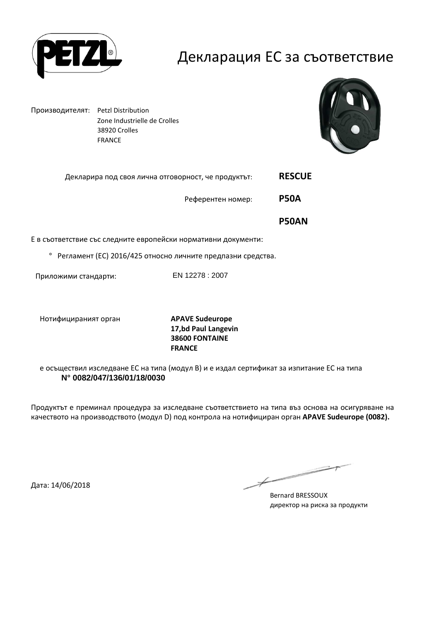

#### Декларация ЕС за съответствие

Производителят: Petzl Distribution Zone Industrielle de Crolles 38920 Crolles FRANCE



| Декларира под своя лична отговорност, че продуктът: | <b>RESCUE</b> |
|-----------------------------------------------------|---------------|
|                                                     |               |

Референтен номер: **P50A** 

 **P50AN** 

Е в съответствие със следните европейски нормативни документи:

° Регламент (ЕС) 2016/425 относно личните предпазни средства.

Приложими стандарти: EN 12278 : 2007

Нотифицираният орган **APAVE Sudeurope**

**17,bd Paul Langevin 38600 FONTAINE FRANCE**

е осъществил изследване ЕС на типа (модул В) и е издал сертификат за изпитание ЕС на типа **N° 0082/047/136/01/18/0030**

Продуктът е преминал процедура за изследване съответствието на типа въз основа на осигуряване на качеството на производството (модул D) под контрола на нотифициран орган **APAVE Sudeurope (0082).**

Дата: 14/06/2018

 $\not\!\!\!/-$ 

Bernard BRESSOUX директор на риска за продукти